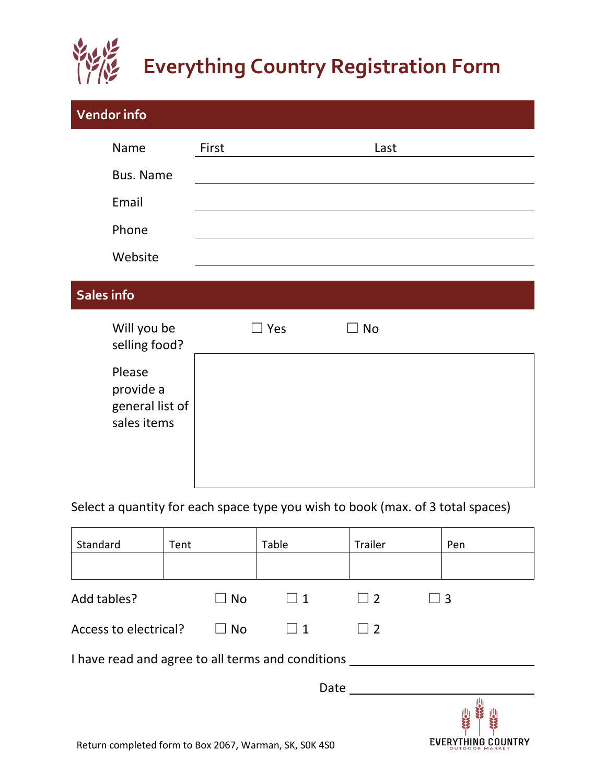

## **Everything Country Registration Form**

| <b>Vendor info</b>                                    |            |      |  |
|-------------------------------------------------------|------------|------|--|
| Name                                                  | First      | Last |  |
| Bus. Name                                             |            |      |  |
| Email                                                 |            |      |  |
| Phone                                                 |            |      |  |
| Website                                               |            |      |  |
| Sales info                                            |            |      |  |
| Will you be<br>selling food?                          | $\Box$ Yes | No   |  |
| Please<br>provide a<br>general list of<br>sales items |            |      |  |

Select a quantity for each space type you wish to book (max. of 3 total spaces)

| Standard                                          | Tent                                                   | Table    | Trailer  |          | Pen            |  |  |  |
|---------------------------------------------------|--------------------------------------------------------|----------|----------|----------|----------------|--|--|--|
|                                                   |                                                        |          |          |          |                |  |  |  |
| Add tables?                                       | $\Box$ No                                              | $\Box$ 1 | $\Box$ 2 | $\Box$ 3 |                |  |  |  |
| Access to electrical?                             | $\square$ No                                           | $\Box$ 1 | $\Box$ 2 |          |                |  |  |  |
| I have read and agree to all terms and conditions |                                                        |          |          |          |                |  |  |  |
|                                                   |                                                        | Date     |          |          |                |  |  |  |
|                                                   | Return completed form to Box 2067, Warman, SK, SOK 4SO |          |          |          | OUTDOOR MARKET |  |  |  |